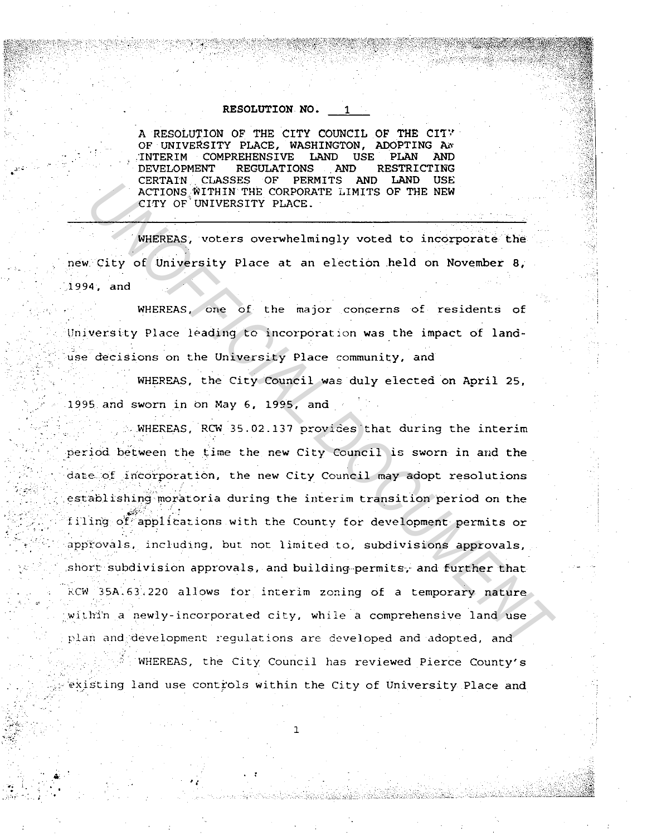## RESOLUTION NO.

A RESOLUTION OF THE CITY COUNCIL OF THE CITY OF UNIVERSITY PLACE, WASHINGTON, ADOPTING AN **INTERIM COMPREHENSIVE** LAND **USE PLAN AND** DEVELOPMENT **REGULATIONS** RESTRICTING AND **CERTAIN CLASSES** OF PERMITS AND LAND **USE** ACTIONS WITHIN THE CORPORATE LIMITS OF THE NEW CITY OF UNIVERSITY PLACE.

WHEREAS, voters overwhelmingly voted to incorporate the new City of University Place at an election held on November 8, 1994. and

WHEREAS, one of the major concerns of residents of University Place leading to incorporation was the impact of landuse decisions on the University Place community, and

WHEREAS, the City Council was duly elected on April 25, 1995 and sworn in on May 6, 1995, and

WHEREAS, RCW 35.02.137 provides that during the interim period between the time the new City Council is sworn in and the date of incorporation, the new City Council may adopt resolutions establishing moratoria during the interim transition period on the filing of applications with the County for development permits or approvals, including, but not limited to, subdivisions approvals, short subdivision approvals, and building permits, and further that RCW 35A.63.220 allows for interim zoning of a temporary nature within a newly-incorporated city, while a comprehensive land use plan and development regulations are developed and adopted, and

WHEREAS, the City Council has reviewed Pierce County's existing land use controls within the City of University Place and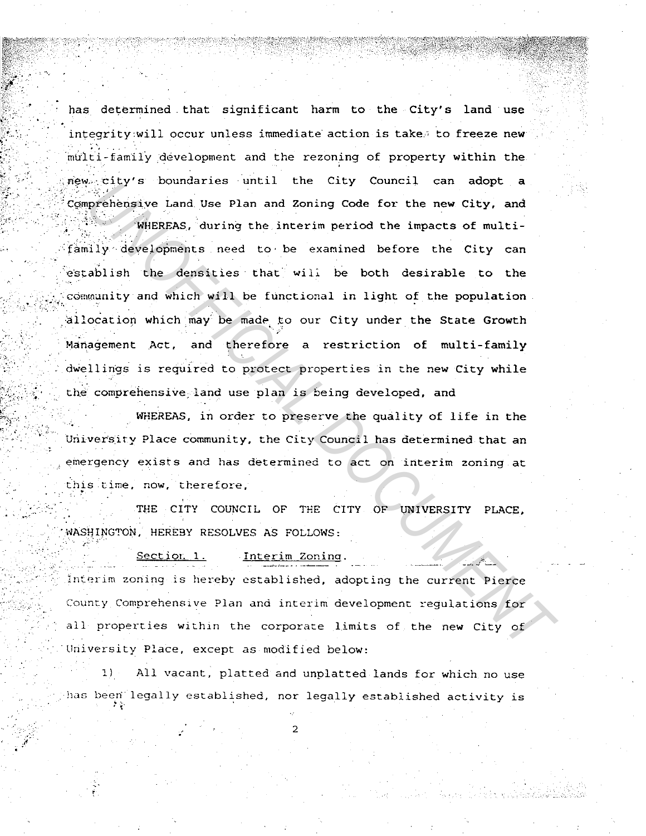has determined that significant harm to the City's land use integrity will occur unless immediate action is take. to freeze new multi-family development and the rezoning of property within the new city's boundaries until the City Council can adopt a Comprehensive Land Use Plan and Zoning Code for the new City. and

WHEREAS, during the interim period the impacts of multifamily developments need to be examined before the City can establish the densities that will be both desirable to the community and which will be functional in light of the population allocation which may be made to our City under the State Growth Management Act, and therefore a restriction of multi-family dwellings is required to protect properties in the new City while the comprehensive land use plan is being developed, and

WHEREAS, in order to preserve the quality of life in the University Place community, the City Council has determined that an emergency exists and has determined to act on interim zoning at this time, now, therefore,

THE CITY COUNCIL OF THE CITY OF UNIVERSITY PLACE, WASHINGTON, HEREBY RESOLVES AS FOLLOWS:

> Section 1 Interim Zoning.

Interim zoning is hereby established, adopting the current Pierce County Comprehensive Plan and interim development regulations for all properties within the corporate limits of the new City of University Place, except as modified below:

All vacant, platted and unplatted lands for which no use  $1$ ) has been legally established, nor legally established activity is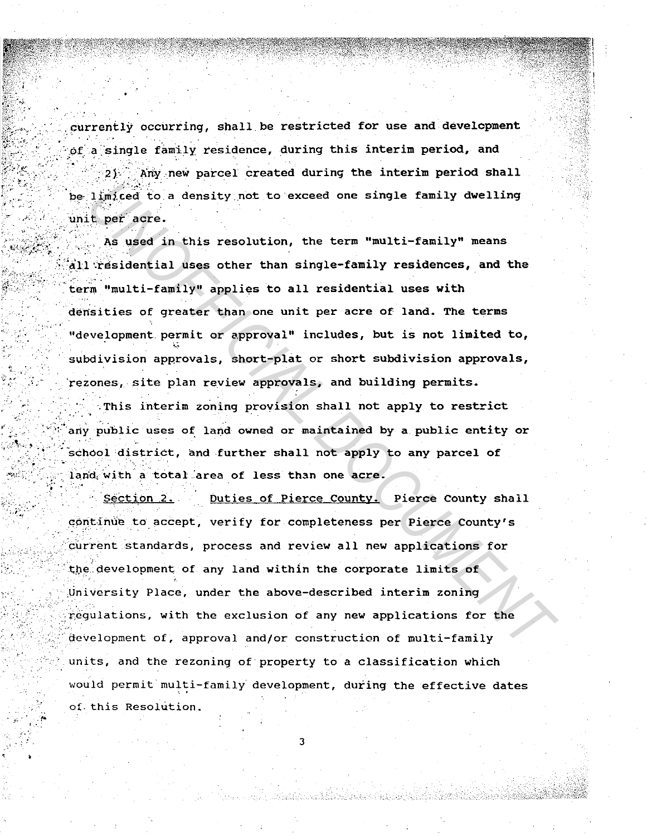currently occurring, shall be restricted for use and development of a single family residence, during this interim period, and 2) Any new parcel created during the interim period shall be limited to a density not to exceed one single family dwelling unit per acre.

As used in this resolution, the term "multi-family" means all residential uses other than single-family residences, and the term "multi-family" applies to all residential uses with densities of greater than one unit per acre of land. The terms "development permit or approval" includes, but is not limited to, subdivision approvals, short-plat or short subdivision approvals, rezones, site plan review approvals, and building permits.

This interim zoning provision shall not apply to restrict any public uses of land owned or maintained by a public entity or school district, and further shall not apply to any parcel of land with a total area of less than one acre.

Duties of Pierce County. Pierce County shall Section 2. continue to accept, verify for completeness per Pierce County's current standards, process and review all new applications for the development of any land within the corporate limits of University Place, under the above-described interim zoning requiations, with the exclusion of any new applications for the development of, approval and/or construction of multi-family units, and the rezoning of property to a classification which would permit multi-family development, during the effective dates of this Resolution.

3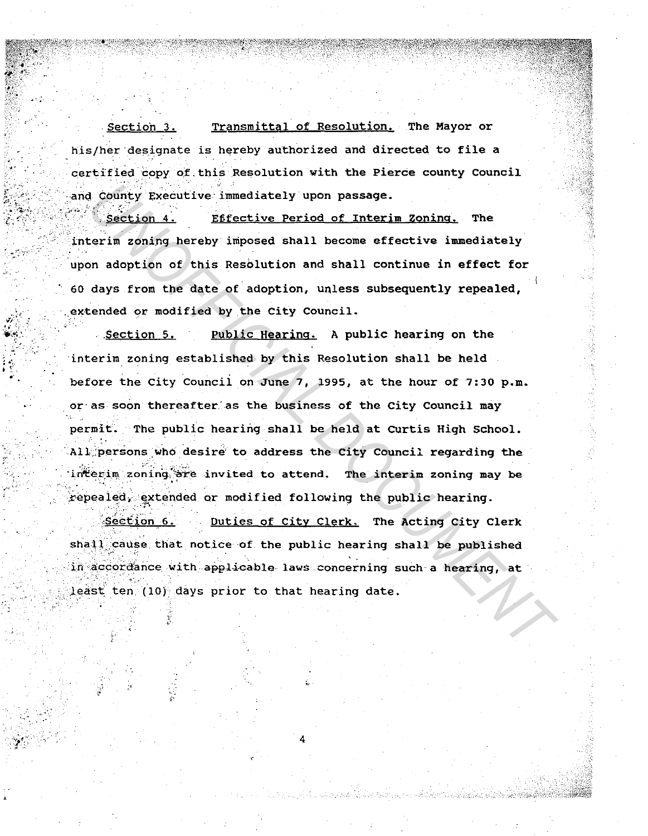Section 3. Transmittal of Resolution. The Mayor or his/her designate is hereby authorized and directed to file a certified copy of this Resolution with the Pierce county Council and County Executive immediately upon passage.

Section 4. Effective Period of Interim Zoning. **The** interim zoning hereby imposed shall become effective immediately upon adoption of this Resolution and shall continue in effect for 60 days from the date of adoption, unless subsequently repealed, extended or modified by the City Council.

Public Hearing. A public hearing on the Section 5. interim zoning established by this Resolution shall be held before the City Council on June 7, 1995, at the hour of 7:30 p.m. or as soon thereafter as the business of the City Council may permit. The public hearing shall be held at Curtis High School. All persons who desire to address the City Council regarding the interim zoning are invited to attend. The interim zoning may be repealed, extended or modified following the public hearing.

Section 6. Duties of City Clerk. The Acting City Clerk shall cause that notice of the public hearing shall be published in accordance with applicable laws concerning such a hearing, at least ten (10) days prior to that hearing date.